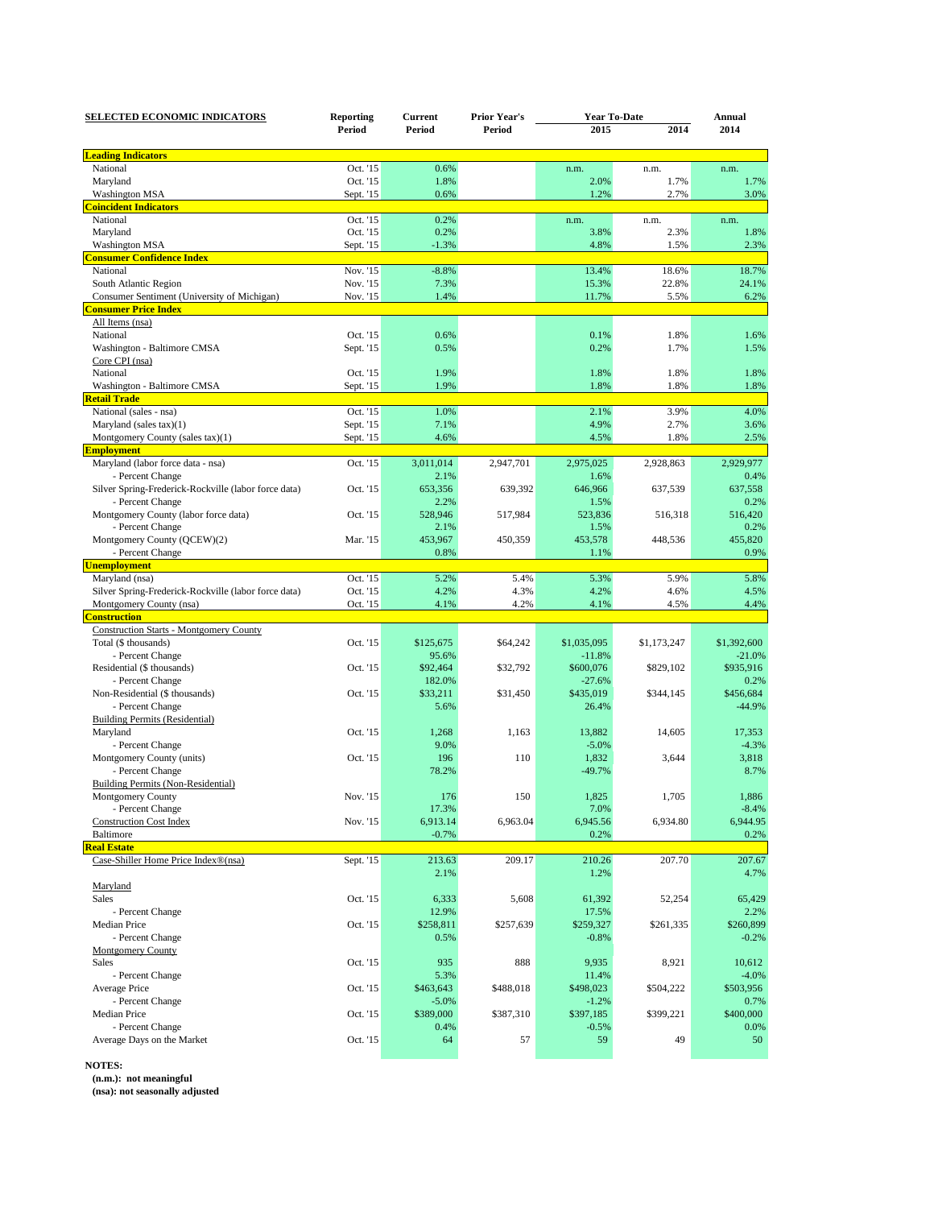| <b>SELECTED ECONOMIC INDICATORS</b>                  | <b>Reporting</b><br>Period | Current<br>Period | <b>Prior Year's</b><br>Period | <b>Year To-Date</b> |             | Annual      |
|------------------------------------------------------|----------------------------|-------------------|-------------------------------|---------------------|-------------|-------------|
|                                                      |                            |                   |                               | 2015                | 2014        | 2014        |
| <b>Leading Indicators</b>                            |                            |                   |                               |                     |             |             |
| National                                             | Oct. '15                   | 0.6%              |                               | n.m.                | n.m.        | n.m.        |
| Maryland                                             | Oct. '15                   | 1.8%              |                               | 2.0%                | 1.7%        | 1.7%        |
| <b>Washington MSA</b>                                | Sept. '15                  | 0.6%              |                               | 1.2%                | 2.7%        | 3.0%        |
| <b>Coincident Indicators</b>                         |                            |                   |                               |                     |             |             |
| National                                             | Oct. '15                   | 0.2%              |                               | n.m.                |             | n.m.        |
|                                                      |                            |                   |                               |                     | n.m.        |             |
| Maryland                                             | Oct. '15                   | 0.2%              |                               | 3.8%                | 2.3%        | 1.8%        |
| <b>Washington MSA</b>                                | Sept. '15                  | $-1.3%$           |                               | 4.8%                | 1.5%        | 2.3%        |
| <b>Consumer Confidence Index</b>                     |                            |                   |                               |                     |             |             |
| National                                             | Nov. '15                   | $-8.8%$           |                               | 13.4%               | 18.6%       | 18.7%       |
| South Atlantic Region                                | Nov. '15                   | 7.3%              |                               | 15.3%               | 22.8%       | 24.1%       |
| Consumer Sentiment (University of Michigan)          | Nov. '15                   | 1.4%              |                               | 11.7%               | 5.5%        | 6.2%        |
| <b>Consumer Price Index</b>                          |                            |                   |                               |                     |             |             |
| All Items (nsa)                                      |                            |                   |                               |                     |             |             |
| National                                             | Oct. '15                   | 0.6%              |                               | 0.1%                | 1.8%        | 1.6%        |
| Washington - Baltimore CMSA                          | Sept. '15                  | 0.5%              |                               | 0.2%                | 1.7%        | 1.5%        |
| Core CPI (nsa)                                       |                            |                   |                               |                     |             |             |
| National                                             | Oct. '15                   | 1.9%              |                               | 1.8%                | 1.8%        | 1.8%        |
| Washington - Baltimore CMSA                          | Sept. '15                  | 1.9%              |                               | 1.8%                | 1.8%        | 1.8%        |
| <b>Retail Trade</b>                                  |                            |                   |                               |                     |             |             |
| National (sales - nsa)                               | Oct. '15                   | 1.0%              |                               | 2.1%                | 3.9%        | 4.0%        |
| Maryland (sales tax)(1)                              | Sept. '15                  | 7.1%              |                               | 4.9%                | 2.7%        | 3.6%        |
| Montgomery County (sales tax)(1)                     | Sept. '15                  | 4.6%              |                               | 4.5%                | 1.8%        | 2.5%        |
| <b>Employment</b>                                    |                            |                   |                               |                     |             |             |
| Maryland (labor force data - nsa)                    | Oct. '15                   | 3,011,014         | 2,947,701                     | 2,975,025           | 2,928,863   | 2,929,977   |
| - Percent Change                                     |                            | 2.1%              |                               | 1.6%                |             | 0.4%        |
|                                                      |                            |                   |                               |                     |             |             |
| Silver Spring-Frederick-Rockville (labor force data) | Oct. '15                   | 653,356           | 639,392                       | 646,966             | 637,539     | 637,558     |
| - Percent Change                                     |                            | 2.2%              |                               | 1.5%                |             | 0.2%        |
| Montgomery County (labor force data)                 | Oct. '15                   | 528,946           | 517,984                       | 523,836             | 516,318     | 516,420     |
| - Percent Change                                     |                            | 2.1%              |                               | 1.5%                |             | 0.2%        |
| Montgomery County (QCEW)(2)                          | Mar. '15                   | 453,967           | 450,359                       | 453,578             | 448,536     | 455,820     |
| - Percent Change                                     |                            | 0.8%              |                               | 1.1%                |             | 0.9%        |
| <b>Unemployment</b>                                  |                            |                   |                               |                     |             |             |
| Maryland (nsa)                                       | Oct. '15                   | 5.2%              | 5.4%                          | 5.3%                | 5.9%        | 5.8%        |
| Silver Spring-Frederick-Rockville (labor force data) | Oct. '15                   | 4.2%              | 4.3%                          | 4.2%                | 4.6%        | 4.5%        |
| Montgomery County (nsa)                              | Oct. '15                   | 4.1%              | 4.2%                          | 4.1%                | 4.5%        | 4.4%        |
| <b>Construction</b>                                  |                            |                   |                               |                     |             |             |
| <b>Construction Starts - Montgomery County</b>       |                            |                   |                               |                     |             |             |
| Total (\$ thousands)                                 | Oct. '15                   | \$125,675         | \$64,242                      | \$1,035,095         | \$1,173,247 | \$1,392,600 |
| - Percent Change                                     |                            | 95.6%             |                               | $-11.8%$            |             | $-21.0%$    |
| Residential (\$ thousands)                           | Oct. '15                   | \$92,464          | \$32,792                      | \$600,076           | \$829,102   | \$935,916   |
| - Percent Change                                     |                            | 182.0%            |                               | $-27.6%$            |             | 0.2%        |
| Non-Residential (\$ thousands)                       | Oct. '15                   | \$33,211          | \$31,450                      | \$435,019           | \$344,145   | \$456,684   |
| - Percent Change                                     |                            | 5.6%              |                               | 26.4%               |             | $-44.9%$    |
|                                                      |                            |                   |                               |                     |             |             |
| <b>Building Permits (Residential)</b>                |                            |                   |                               |                     |             |             |
| Maryland                                             | Oct. '15                   | 1,268             | 1,163                         | 13,882              | 14,605      | 17,353      |
| - Percent Change                                     |                            | 9.0%              |                               | $-5.0%$             |             | $-4.3%$     |
| Montgomery County (units)                            | Oct. '15                   | 196               | 110                           | 1,832               | 3,644       | 3,818       |
| - Percent Change                                     |                            | 78.2%             |                               | $-49.7%$            |             | 8.7%        |
| <b>Building Permits (Non-Residential)</b>            |                            |                   |                               |                     |             |             |
| Montgomery County                                    | Nov. '15                   | 176               | 150                           | 1,825               | 1,705       | 1,886       |
| - Percent Change                                     |                            | 17.3%             |                               | 7.0%                |             | $-8.4%$     |
| <b>Construction Cost Index</b>                       | Nov. '15                   | 6,913.14          | 6,963.04                      | 6,945.56            | 6,934.80    | 6,944.95    |
| <b>Baltimore</b>                                     |                            | $-0.7%$           |                               | 0.2%                |             | 0.2%        |
| <b>Real Estate</b>                                   |                            |                   |                               |                     |             |             |
| Case-Shiller Home Price Index®(nsa)                  | Sept. '15                  | 213.63            | 209.17                        | 210.26              | 207.70      | 207.67      |
|                                                      |                            | 2.1%              |                               | 1.2%                |             | 4.7%        |
| Maryland                                             |                            |                   |                               |                     |             |             |
| Sales                                                | Oct. '15                   | 6,333             | 5,608                         | 61,392              | 52,254      | 65,429      |
|                                                      |                            | 12.9%             |                               |                     |             |             |
| - Percent Change                                     |                            |                   | \$257,639                     | 17.5%               | \$261,335   | 2.2%        |
| Median Price                                         | Oct. '15                   | \$258,811         |                               | \$259,327           |             | \$260,899   |
| - Percent Change                                     |                            | 0.5%              |                               | $-0.8%$             |             | $-0.2%$     |
| <b>Montgomery County</b>                             |                            |                   |                               |                     |             |             |
| Sales                                                | Oct. '15                   | 935               | 888                           | 9,935               | 8,921       | 10,612      |
| - Percent Change                                     |                            | 5.3%              |                               | 11.4%               |             | $-4.0%$     |
| Average Price                                        | Oct. '15                   | \$463,643         | \$488,018                     | \$498,023           | \$504,222   | \$503,956   |
| - Percent Change                                     |                            | $-5.0%$           |                               | $-1.2%$             |             | 0.7%        |
| Median Price                                         | Oct. '15                   | \$389,000         | \$387,310                     | \$397,185           | \$399,221   | \$400,000   |
| - Percent Change                                     |                            | 0.4%              |                               | $-0.5%$             |             | 0.0%        |
| Average Days on the Market                           | Oct. '15                   | 64                | 57                            | 59                  | 49          | 50          |
|                                                      |                            |                   |                               |                     |             |             |

**NOTES:**

**(n.m.): not meaningful**

**(nsa): not seasonally adjusted**